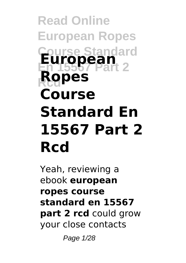# **Read Online European Ropes Course Standard European Ropes Course Standard En 15567 Part 2 Rcd**

Yeah, reviewing a ebook **european ropes course standard en 15567 part 2 rcd** could grow your close contacts

Page 1/28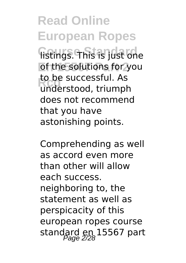**Read Online European Ropes Course Standard** listings. This is just one of the solutions for you to be successitul. As<br>
understood, triumph to be successful. As does not recommend that you have astonishing points.

Comprehending as well as accord even more than other will allow each success. neighboring to, the statement as well as perspicacity of this european ropes course standard en 15567 part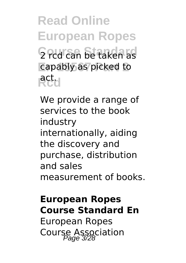**Read Online European Ropes** 2 rcd can be taken as **En 15567 Part 2** capably as picked to **Rcd** act.

We provide a range of services to the book industry internationally, aiding the discovery and purchase, distribution and sales measurement of books.

### **European Ropes Course Standard En**

European Ropes Course Association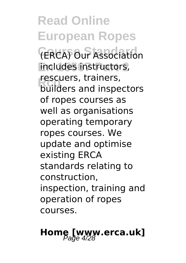**Read Online European Ropes Course Standard** (ERCA) Our Association **En 15567 Part 2** includes instructors, rescuers, trainers,<br>builders and inspectors rescuers, trainers, of ropes courses as well as organisations operating temporary ropes courses. We update and optimise existing ERCA standards relating to construction, inspection, training and operation of ropes courses.

# **Home [www.erca.uk]**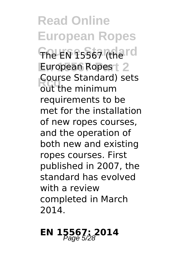**Read Online European Ropes The EN 15567 (the rd** European Ropes<sup>+</sup> 2 **Reduced Standard** Course Standard) sets requirements to be met for the installation of new ropes courses, and the operation of both new and existing ropes courses. First published in 2007, the standard has evolved with a review completed in March 2014.

## **EN 15567; 2014**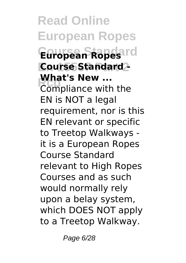**Read Online European Ropes** European Ropesard **Course Standard Red** ...<br> **Red** ...<br>
Compliance with the **What's New ...** EN is NOT a legal requirement, nor is this EN relevant or specific to Treetop Walkways it is a European Ropes Course Standard relevant to High Ropes Courses and as such would normally rely upon a belay system, which DOES NOT apply to a Treetop Walkway.

Page 6/28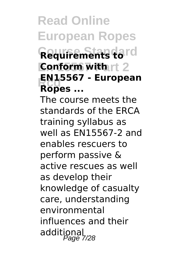## **Read Online European Ropes Course Standard Requirements to Conform with rt 2 Rcd EN15567 - European Ropes ...**

The course meets the standards of the ERCA training syllabus as well as EN15567-2 and enables rescuers to perform passive & active rescues as well as develop their knowledge of casualty care, understanding environmental influences and their additional<br>Page 7/28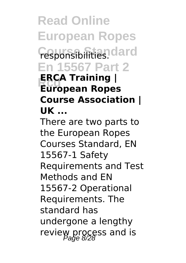**Read Online European Ropes Fesponsibilities**. dard **En 15567 Part 2 Rcd European Ropes ERCA Training | Course Association | UK ...**

There are two parts to the European Ropes Courses Standard, EN 15567-1 Safety Requirements and Test Methods and EN 15567-2 Operational Requirements. The standard has undergone a lengthy review process and is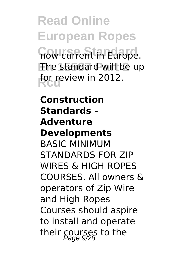**Read Online European Ropes Trow current in Europe. En 15567 Part 2** The standard will be up for review in 2012.

**Construction Standards - Adventure Developments** BASIC MINIMUM STANDARDS FOR ZIP WIRES & HIGH ROPES COURSES. All owners & operators of Zip Wire and High Ropes Courses should aspire to install and operate their courses to the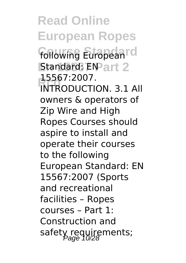**Read Online European Ropes** following European<sup>rd</sup> **Standard: ENPart 2 Rcd** INTRODUCTION. 3.1 All 15567:2007. owners & operators of Zip Wire and High Ropes Courses should aspire to install and operate their courses to the following European Standard: EN 15567:2007 (Sports and recreational facilities – Ropes courses – Part 1: Construction and safety requirements;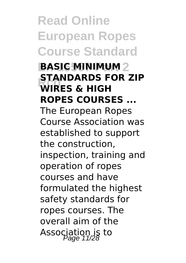**Read Online European Ropes Course Standard**

**BASIC MINIMUM** 2 **READ ARDS** F **STANDARDS FOR ZIP ROPES COURSES ...**

The European Ropes Course Association was established to support the construction, inspection, training and operation of ropes courses and have formulated the highest safety standards for ropes courses. The overall aim of the Association is to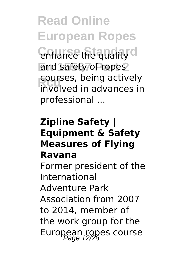**Read Online European Ropes Contrance the quality of** and safety of ropes courses, being actively<br>
involved in advances in courses, being actively professional ...

### **Zipline Safety | Equipment & Safety Measures of Flying Ravana**

Former president of the International Adventure Park Association from 2007 to 2014, member of the work group for the European ropes course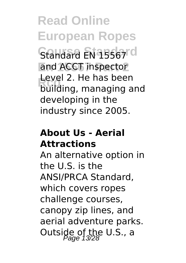**Read Online European Ropes** Standard EN 15567<sup>rd</sup> and ACCT inspector Lever z. He has been<br>building, managing and Level 2. He has been developing in the industry since 2005.

### **About Us - Aerial Attractions**

An alternative option in the U.S. is the ANSI/PRCA Standard, which covers ropes challenge courses, canopy zip lines, and aerial adventure parks. Outside of the U.S., a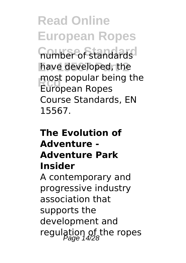**Read Online European Ropes Course Standard** number of standards have developed, the **Rcd** European Ropes most popular being the Course Standards, EN 15567.

### **The Evolution of Adventure - Adventure Park Insider** A contemporary and progressive industry association that supports the development and regulation of the ropes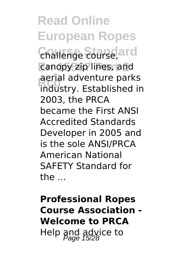**Read Online European Ropes Challenge course, ard** canopy zip lines, and aerial adventure parks<br>
industry. Established in aerial adventure parks 2003, the PRCA became the First ANSI Accredited Standards Developer in 2005 and is the sole ANSI/PRCA American National SAFETY Standard for the ...

### **Professional Ropes Course Association - Welcome to PRCA** Help and advice to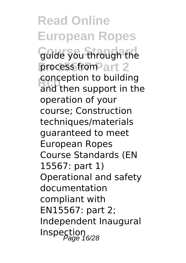**Read Online European Ropes Guide you through the** process from art 2 conception to building<br>
and then support in the conception to building operation of your course; Construction techniques/materials guaranteed to meet European Ropes Course Standards (EN 15567: part 1) Operational and safety documentation compliant with EN15567: part 2; Independent Inaugural  $\mathop{\sf Inspe}\nolimits_{\mathop{\sf Page}\nolimits}^{\mathop{\sf In}}$  16/28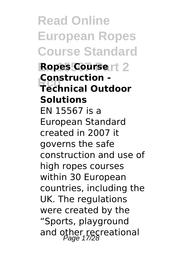**Read Online European Ropes Course Standard Ropes Course**rt 2 **Rcd Technical Outdoor Construction - Solutions** EN 15567 is a European Standard created in 2007 it governs the safe construction and use of high ropes courses within 30 European countries, including the UK. The regulations were created by the "Sports, playground and other recreational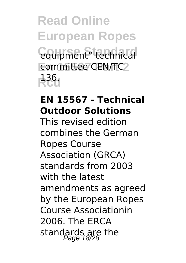**Read Online European Ropes Coupment**" technical committee CEN/TC2 **Rcd** 136.

### **EN 15567 - Technical Outdoor Solutions**

This revised edition combines the German Ropes Course Association (GRCA) standards from 2003 with the latest amendments as agreed by the European Ropes Course Associationin 2006. The ERCA standards are the<br>Page 18/28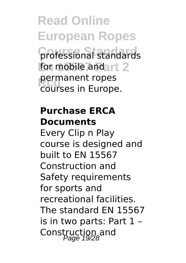**Read Online European Ropes Course Standard** professional standards for mobile and art 2 **Permanent ropes**<br>Courses in Europe courses in Europe.

### **Purchase ERCA Documents**

Every Clip n Play course is designed and built to EN 15567 Construction and Safety requirements for sports and recreational facilities. The standard EN 15567 is in two parts: Part 1 – Construction and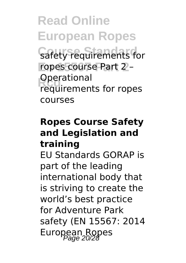**Read Online European Ropes Safety requirements for En 15567 Part 2** ropes course Part 2 – **Operational** requirements for ropes courses

### **Ropes Course Safety and Legislation and training**

EU Standards GORAP is part of the leading international body that is striving to create the world's best practice for Adventure Park safety (EN 15567: 2014 European Ropes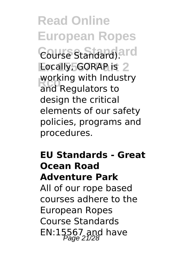**Read Online European Ropes Course Standard** Course Standard). **Locally, GORAP is 2 Regulators** to working with Industry design the critical elements of our safety policies, programs and procedures.

### **EU Standards - Great Ocean Road Adventure Park**

All of our rope based courses adhere to the European Ropes Course Standards EN:15567 and have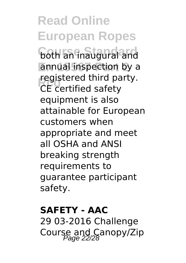**Read Online European Ropes both an inaugural and En 15567 Part 2** annual inspection by a **Registered third particle**<br>CE certified safety registered third party. equipment is also attainable for European customers when appropriate and meet all OSHA and ANSI breaking strength requirements to guarantee participant safety.

#### **SAFETY - AAC**

29 03-2016 Challenge Course and Canopy/Zip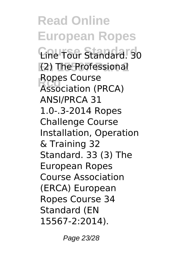**Read Online European Ropes Course Standard** Line Tour Standard. 30 (2) The Professional Ropes Course<br> **Association (PRCA)** Ropes Course ANSI/PRCA 31 1.0-.3-2014 Ropes Challenge Course Installation, Operation & Training 32 Standard. 33 (3) The European Ropes Course Association (ERCA) European Ropes Course 34 Standard (EN 15567-2:2014).

Page 23/28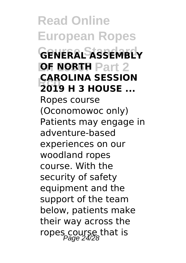**Read Online European Ropes Course Standard GENERAL ASSEMBLY OF NORTH Part 2 RANGLINA SESSION**<br> **2019 H 3 HOUSE** ... **CAROLINA SESSION** Ropes course (Oconomowoc only) Patients may engage in adventure-based experiences on our woodland ropes course. With the security of safety equipment and the support of the team below, patients make their way across the ropes course that is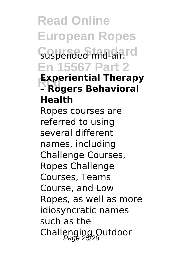**Read Online European Ropes** Suspended mid-air.rd **En 15567 Part 2 Experiential Therap**<br>**- Rogers Behavioral Experiential Therapy Health** Ropes courses are referred to using several different names, including Challenge Courses, Ropes Challenge Courses, Teams Course, and Low Ropes, as well as more idiosyncratic names such as the Challenging Outdoor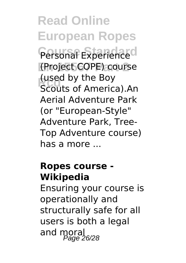**Read Online European Ropes** Personal Experience<sup>d</sup> **En 15567 Part 2** (Project COPE) course **Rused by the Boy<br>Scouts of America).An** (used by the Boy Aerial Adventure Park (or "European-Style" Adventure Park, Tree-Top Adventure course) has a more ...

### **Ropes course - Wikipedia**

Ensuring your course is operationally and structurally safe for all users is both a legal and moral<br>Page 26/28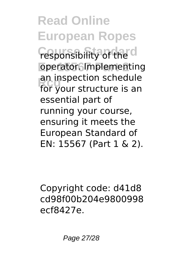**Read Online European Ropes** *Componsibility of the* **En 15567 Part 2** operator. Implementing an inspection scriedule<br>for your structure is an an inspection schedule essential part of running your course, ensuring it meets the European Standard of EN: 15567 (Part 1 & 2).

Copyright code: d41d8 cd98f00b204e9800998 ecf8427e.